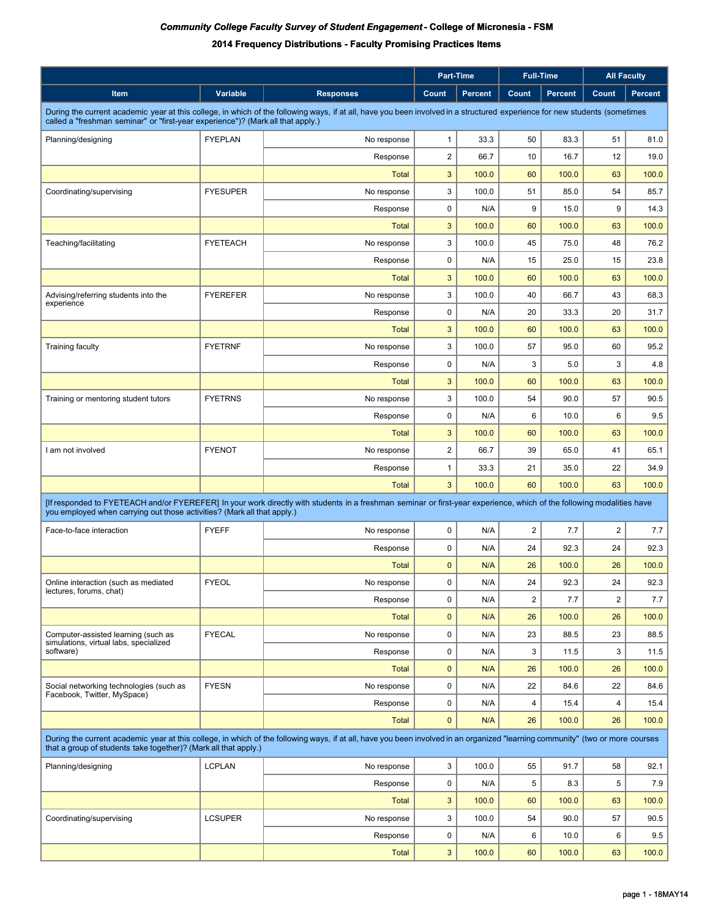|                                                                                                                                                                                                                                                               |                 |                  | <b>Part-Time</b> |                | <b>Full-Time</b>        |                |                | <b>All Faculty</b> |
|---------------------------------------------------------------------------------------------------------------------------------------------------------------------------------------------------------------------------------------------------------------|-----------------|------------------|------------------|----------------|-------------------------|----------------|----------------|--------------------|
| Item                                                                                                                                                                                                                                                          | Variable        | <b>Responses</b> | Count            | <b>Percent</b> | Count                   | <b>Percent</b> | Count          | <b>Percent</b>     |
| During the current academic year at this college, in which of the following ways, if at all, have you been involved in a structured experience for new students (sometimes<br>called a "freshman seminar" or "first-year experience")? (Mark all that apply.) |                 |                  |                  |                |                         |                |                |                    |
| Planning/designing                                                                                                                                                                                                                                            | <b>FYEPLAN</b>  | No response      | $\mathbf{1}$     | 33.3           | 50                      | 83.3           | 51             | 81.0               |
|                                                                                                                                                                                                                                                               |                 | Response         | $\overline{2}$   | 66.7           | 10                      | 16.7           | 12             | 19.0               |
|                                                                                                                                                                                                                                                               |                 | <b>Total</b>     | $\mathbf{3}$     | 100.0          | 60                      | 100.0          | 63             | 100.0              |
| Coordinating/supervising                                                                                                                                                                                                                                      | <b>FYESUPER</b> | No response      | 3                | 100.0          | 51                      | 85.0           | 54             | 85.7               |
|                                                                                                                                                                                                                                                               |                 | Response         | $\mathbf 0$      | N/A            | 9                       | 15.0           | 9              | 14.3               |
|                                                                                                                                                                                                                                                               |                 | <b>Total</b>     | $\mathbf{3}$     | 100.0          | 60                      | 100.0          | 63             | 100.0              |
| Teaching/facilitating                                                                                                                                                                                                                                         | <b>FYETEACH</b> | No response      | 3                | 100.0          | 45                      | 75.0           | 48             | 76.2               |
|                                                                                                                                                                                                                                                               |                 | Response         | $\mathbf 0$      | N/A            | 15                      | 25.0           | 15             | 23.8               |
|                                                                                                                                                                                                                                                               |                 | <b>Total</b>     | 3                | 100.0          | 60                      | 100.0          | 63             | 100.0              |
| Advising/referring students into the<br>experience                                                                                                                                                                                                            | <b>FYEREFER</b> | No response      | 3                | 100.0          | 40                      | 66.7           | 43             | 68.3               |
|                                                                                                                                                                                                                                                               |                 | Response         | $\mathbf 0$      | N/A            | 20                      | 33.3           | 20             | 31.7               |
|                                                                                                                                                                                                                                                               |                 | <b>Total</b>     | 3                | 100.0          | 60                      | 100.0          | 63             | 100.0              |
| <b>Training faculty</b>                                                                                                                                                                                                                                       | <b>FYETRNF</b>  | No response      | 3                | 100.0          | 57                      | 95.0           | 60             | 95.2               |
|                                                                                                                                                                                                                                                               |                 | Response         | $\mathbf 0$      | N/A            | 3                       | 5.0            | 3              | 4.8                |
|                                                                                                                                                                                                                                                               |                 | <b>Total</b>     | 3                | 100.0          | 60                      | 100.0          | 63             | 100.0              |
| Training or mentoring student tutors                                                                                                                                                                                                                          | <b>FYETRNS</b>  | No response      | 3                | 100.0          | 54                      | 90.0           | 57             | 90.5               |
|                                                                                                                                                                                                                                                               |                 | Response         | 0                | N/A            | 6                       | 10.0           | 6              | 9.5                |
|                                                                                                                                                                                                                                                               |                 | <b>Total</b>     | $\mathbf{3}$     | 100.0          | 60                      | 100.0          | 63             | 100.0              |
| I am not involved                                                                                                                                                                                                                                             | <b>FYENOT</b>   | No response      | $\boldsymbol{2}$ | 66.7           | 39                      | 65.0           | 41             | 65.1               |
|                                                                                                                                                                                                                                                               |                 | Response         | $\mathbf{1}$     | 33.3           | 21                      | 35.0           | 22             | 34.9               |
|                                                                                                                                                                                                                                                               |                 | <b>Total</b>     | $\mathbf{3}$     | 100.0          | 60                      | 100.0          | 63             | 100.0              |
| [If responded to FYETEACH and/or FYEREFER] In your work directly with students in a freshman seminar or first-year experience, which of the following modalities have<br>you employed when carrying out those activities? (Mark all that apply.)              |                 |                  |                  |                |                         |                |                |                    |
| Face-to-face interaction                                                                                                                                                                                                                                      | <b>FYEFF</b>    | No response      | $\mathbf 0$      | N/A            | $\overline{2}$          | 7.7            | $\overline{2}$ | 7.7                |
|                                                                                                                                                                                                                                                               |                 | Response         | $\mathbf 0$      | N/A            | 24                      | 92.3           | 24             | 92.3               |
|                                                                                                                                                                                                                                                               |                 | <b>Total</b>     | $\mathbf{0}$     | N/A            | 26                      | 100.0          | 26             | 100.0              |
| Online interaction (such as mediated<br>lectures, forums, chat)                                                                                                                                                                                               | <b>FYEOL</b>    | No response      | 0                | N/A            | 24                      | 92.3           | 24             | 92.3               |
|                                                                                                                                                                                                                                                               |                 | Response         | $\mathbf 0$      | N/A            | $\overline{c}$          | 7.7            | $\overline{2}$ | 7.7                |
|                                                                                                                                                                                                                                                               |                 | <b>Total</b>     | $\mathbf 0$      | N/A            | 26                      | 100.0          | 26             | 100.0              |
| Computer-assisted learning (such as<br>simulations, virtual labs, specialized                                                                                                                                                                                 | <b>FYECAL</b>   | No response      | 0                | N/A            | 23                      | 88.5           | 23             | 88.5               |
| software)                                                                                                                                                                                                                                                     |                 | Response         | $\mathbf 0$      | N/A            | 3                       | 11.5           | 3              | 11.5               |
|                                                                                                                                                                                                                                                               |                 | <b>Total</b>     | $\pmb{0}$        | N/A            | 26                      | 100.0          | 26             | 100.0              |
| Social networking technologies (such as<br>Facebook, Twitter, MySpace)                                                                                                                                                                                        | <b>FYESN</b>    | No response      | $\mathbf 0$      | N/A            | 22                      | 84.6           | 22             | 84.6               |
|                                                                                                                                                                                                                                                               |                 | Response         | $\mathbf 0$      | N/A            | $\overline{\mathbf{4}}$ | 15.4           | 4              | 15.4               |
|                                                                                                                                                                                                                                                               |                 | <b>Total</b>     | $\mathbf{0}$     | N/A            | 26                      | 100.0          | 26             | 100.0              |
| During the current academic year at this college, in which of the following ways, if at all, have you been involved in an organized "learning community" (two or more courses<br>that a group of students take together)? (Mark all that apply.)              |                 |                  |                  |                |                         |                |                |                    |
| Planning/designing                                                                                                                                                                                                                                            | <b>LCPLAN</b>   | No response      | 3                | 100.0          | 55                      | 91.7           | 58             | 92.1               |
|                                                                                                                                                                                                                                                               |                 | Response         | 0                | N/A            | 5                       | 8.3            | 5              | 7.9                |
|                                                                                                                                                                                                                                                               |                 | <b>Total</b>     | $\sqrt{3}$       | 100.0          | 60                      | 100.0          | 63             | 100.0              |
| Coordinating/supervising                                                                                                                                                                                                                                      | <b>LCSUPER</b>  | No response      | 3                | 100.0          | 54                      | 90.0           | 57             | 90.5               |
|                                                                                                                                                                                                                                                               |                 | Response         | 0                | N/A            | 6                       | 10.0           | 6              | 9.5                |
|                                                                                                                                                                                                                                                               |                 | <b>Total</b>     | $\mathbf{3}$     | 100.0          | 60                      | 100.0          | 63             | 100.0              |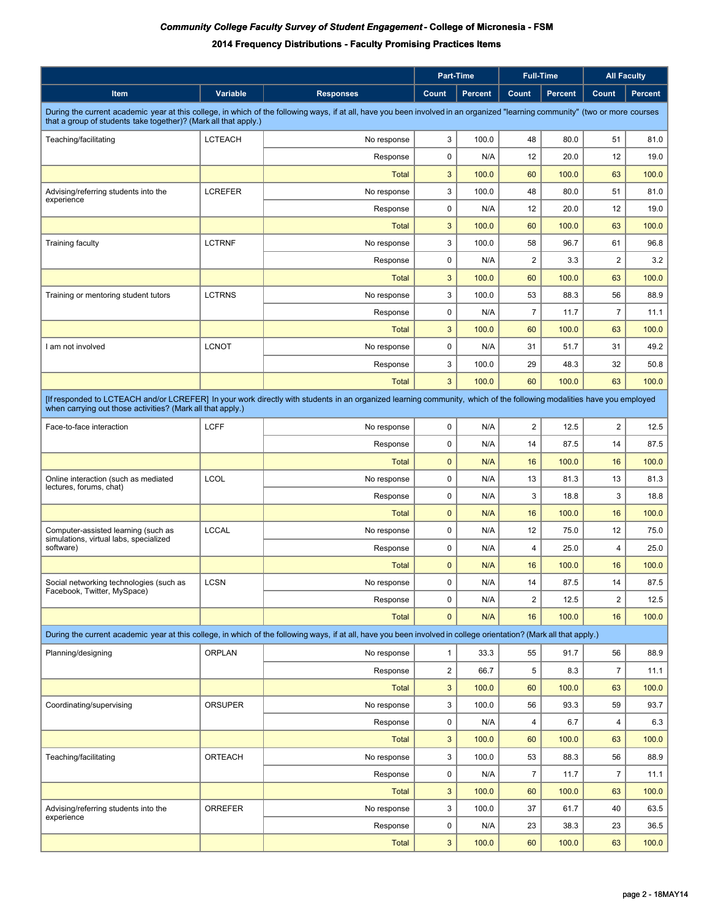|                                                                                                                                                                                                                                                  |                |                  | <b>Part-Time</b> |                | <b>Full-Time</b> |         |                | <b>All Faculty</b> |
|--------------------------------------------------------------------------------------------------------------------------------------------------------------------------------------------------------------------------------------------------|----------------|------------------|------------------|----------------|------------------|---------|----------------|--------------------|
| Item                                                                                                                                                                                                                                             | Variable       | <b>Responses</b> | Count            | <b>Percent</b> | Count            | Percent | Count          | <b>Percent</b>     |
| During the current academic year at this college, in which of the following ways, if at all, have you been involved in an organized "learning community" (two or more courses<br>that a group of students take together)? (Mark all that apply.) |                |                  |                  |                |                  |         |                |                    |
| Teaching/facilitating                                                                                                                                                                                                                            | <b>LCTEACH</b> | No response      | 3                | 100.0          | 48               | 80.0    | 51             | 81.0               |
|                                                                                                                                                                                                                                                  |                | Response         | 0                | N/A            | 12               | 20.0    | 12             | 19.0               |
|                                                                                                                                                                                                                                                  |                | <b>Total</b>     | $\mathsf 3$      | 100.0          | 60               | 100.0   | 63             | 100.0              |
| Advising/referring students into the                                                                                                                                                                                                             | <b>LCREFER</b> | No response      | 3                | 100.0          | 48               | 80.0    | 51             | 81.0               |
| experience                                                                                                                                                                                                                                       |                | Response         | 0                | N/A            | 12               | 20.0    | 12             | 19.0               |
|                                                                                                                                                                                                                                                  |                | <b>Total</b>     | 3                | 100.0          | 60               | 100.0   | 63             | 100.0              |
| <b>Training faculty</b>                                                                                                                                                                                                                          | <b>LCTRNF</b>  | No response      | 3                | 100.0          | 58               | 96.7    | 61             | 96.8               |
|                                                                                                                                                                                                                                                  |                | Response         | 0                | N/A            | $\overline{2}$   | 3.3     | $\overline{2}$ | 3.2                |
|                                                                                                                                                                                                                                                  |                | Total            | 3                | 100.0          | 60               | 100.0   | 63             | 100.0              |
| Training or mentoring student tutors                                                                                                                                                                                                             | <b>LCTRNS</b>  | No response      | 3                | 100.0          | 53               | 88.3    | 56             | 88.9               |
|                                                                                                                                                                                                                                                  |                | Response         | 0                | N/A            | $\overline{7}$   | 11.7    | $\overline{7}$ | 11.1               |
|                                                                                                                                                                                                                                                  |                | <b>Total</b>     | 3                | 100.0          | 60               | 100.0   | 63             | 100.0              |
| I am not involved                                                                                                                                                                                                                                | <b>LCNOT</b>   | No response      | 0                | N/A            | 31               | 51.7    | 31             | 49.2               |
|                                                                                                                                                                                                                                                  |                | Response         | 3                | 100.0          | 29               | 48.3    | 32             | 50.8               |
|                                                                                                                                                                                                                                                  |                | <b>Total</b>     | 3                | 100.0          | 60               | 100.0   | 63             | 100.0              |
| [If responded to LCTEACH and/or LCREFER] In your work directly with students in an organized learning community, which of the following modalities have you employed                                                                             |                |                  |                  |                |                  |         |                |                    |
| when carrying out those activities? (Mark all that apply.)                                                                                                                                                                                       |                |                  |                  |                |                  |         |                |                    |
| Face-to-face interaction                                                                                                                                                                                                                         | <b>LCFF</b>    | No response      | 0                | N/A            | $\overline{2}$   | 12.5    | $\overline{2}$ | 12.5               |
|                                                                                                                                                                                                                                                  |                | Response         | 0                | N/A            | 14               | 87.5    | 14             | 87.5               |
|                                                                                                                                                                                                                                                  |                | <b>Total</b>     | $\mathbf{0}$     | N/A            | 16               | 100.0   | 16             | 100.0              |
| Online interaction (such as mediated<br>lectures, forums, chat)                                                                                                                                                                                  | <b>LCOL</b>    | No response      | 0                | N/A            | 13               | 81.3    | 13             | 81.3               |
|                                                                                                                                                                                                                                                  |                | Response         | 0                | N/A            | 3                | 18.8    | 3              | 18.8               |
|                                                                                                                                                                                                                                                  |                | <b>Total</b>     | $\mathbf{0}$     | N/A            | 16               | 100.0   | 16             | 100.0              |
| Computer-assisted learning (such as<br>simulations, virtual labs, specialized                                                                                                                                                                    | <b>LCCAL</b>   | No response      | 0                | N/A            | 12               | 75.0    | 12             | 75.0               |
| software)                                                                                                                                                                                                                                        |                | Response         | 0                | N/A            | 4                | 25.0    | $\overline{4}$ | 25.0               |
|                                                                                                                                                                                                                                                  |                | <b>Total</b>     | $\mathbf{0}$     | N/A            | 16               | 100.0   | 16             | 100.0              |
| Social networking technologies (such as<br>Facebook, Twitter, MySpace)                                                                                                                                                                           | <b>LCSN</b>    | No response      | 0                | N/A            | 14               | 87.5    | 14             | 87.5               |
|                                                                                                                                                                                                                                                  |                | Response         | 0                | N/A            | $\overline{2}$   | 12.5    | $\overline{2}$ | 12.5               |
|                                                                                                                                                                                                                                                  |                | <b>Total</b>     | $\mathbf{0}$     | N/A            | 16               | 100.0   | 16             | 100.0              |
| During the current academic year at this college, in which of the following ways, if at all, have you been involved in college orientation? (Mark all that apply.)                                                                               |                |                  |                  |                |                  |         |                |                    |
| Planning/designing                                                                                                                                                                                                                               | <b>ORPLAN</b>  | No response      | $\mathbf{1}$     | 33.3           | 55               | 91.7    | 56             | 88.9               |
|                                                                                                                                                                                                                                                  |                | Response         | $\overline{c}$   | 66.7           | 5                | 8.3     | $\overline{7}$ | 11.1               |
|                                                                                                                                                                                                                                                  |                | <b>Total</b>     | $\mathbf{3}$     | 100.0          | 60               | 100.0   | 63             | 100.0              |
| Coordinating/supervising                                                                                                                                                                                                                         | <b>ORSUPER</b> | No response      | 3                | 100.0          | 56               | 93.3    | 59             | 93.7               |
|                                                                                                                                                                                                                                                  |                | Response         | 0                | N/A            | 4                | 6.7     | 4              | 6.3                |
|                                                                                                                                                                                                                                                  |                | <b>Total</b>     | 3                | 100.0          | 60               | 100.0   | 63             | 100.0              |
| Teaching/facilitating                                                                                                                                                                                                                            | ORTEACH        | No response      | 3                | 100.0          | 53               | 88.3    | 56             | 88.9               |
|                                                                                                                                                                                                                                                  |                | Response         | 0                | N/A            | $\overline{7}$   | 11.7    | $\overline{7}$ | 11.1               |
|                                                                                                                                                                                                                                                  |                | <b>Total</b>     | $\mathbf{3}$     | 100.0          | 60               | 100.0   | 63             | 100.0              |
| Advising/referring students into the                                                                                                                                                                                                             | ORREFER        | No response      | 3                | 100.0          | 37               | 61.7    | 40             | 63.5               |
| experience                                                                                                                                                                                                                                       |                | Response         | 0                | N/A            | 23               | 38.3    | 23             | 36.5               |
|                                                                                                                                                                                                                                                  |                | <b>Total</b>     | 3                | 100.0          | 60               | 100.0   | 63             | 100.0              |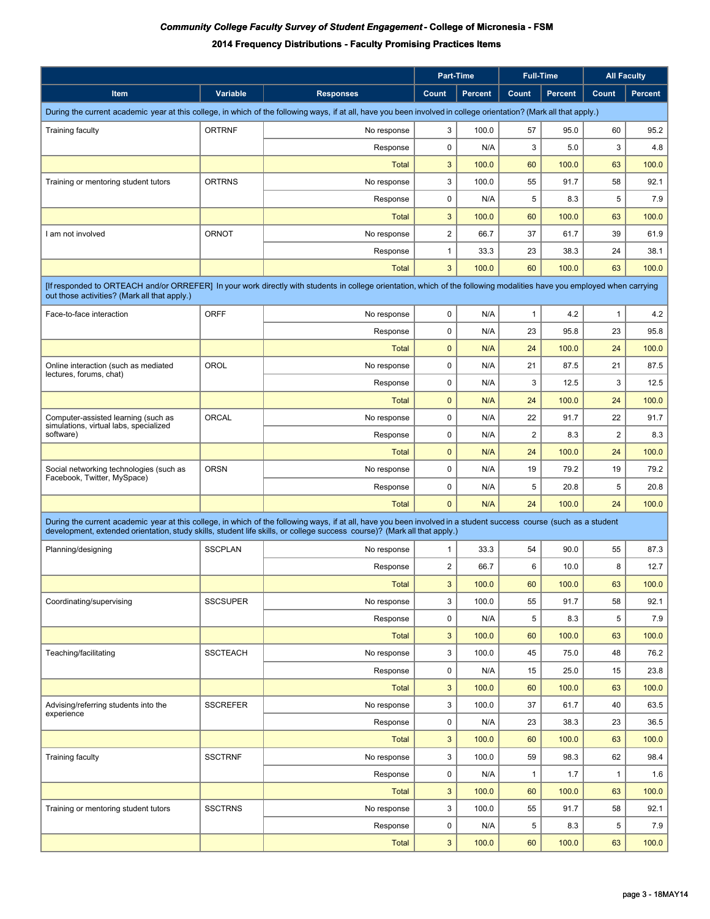|                                                                                                                                                                                                                                                                                                |                 |                  | Part-Time        |                |                |                |                |                | <b>Full-Time</b> |  |  | <b>All Faculty</b> |
|------------------------------------------------------------------------------------------------------------------------------------------------------------------------------------------------------------------------------------------------------------------------------------------------|-----------------|------------------|------------------|----------------|----------------|----------------|----------------|----------------|------------------|--|--|--------------------|
| Item                                                                                                                                                                                                                                                                                           | Variable        | <b>Responses</b> | Count            | <b>Percent</b> | Count          | <b>Percent</b> | Count          | <b>Percent</b> |                  |  |  |                    |
| During the current academic year at this college, in which of the following ways, if at all, have you been involved in college orientation? (Mark all that apply.)                                                                                                                             |                 |                  |                  |                |                |                |                |                |                  |  |  |                    |
| <b>Training faculty</b>                                                                                                                                                                                                                                                                        | <b>ORTRNF</b>   | No response      | 3                | 100.0          | 57             | 95.0           | 60             | 95.2           |                  |  |  |                    |
|                                                                                                                                                                                                                                                                                                |                 | Response         | $\mathbf 0$      | N/A            | 3              | 5.0            | 3              | 4.8            |                  |  |  |                    |
|                                                                                                                                                                                                                                                                                                |                 | <b>Total</b>     | $\mathbf{3}$     | 100.0          | 60             | 100.0          | 63             | 100.0          |                  |  |  |                    |
| Training or mentoring student tutors                                                                                                                                                                                                                                                           | <b>ORTRNS</b>   | No response      | 3                | 100.0          | 55             | 91.7           | 58             | 92.1           |                  |  |  |                    |
|                                                                                                                                                                                                                                                                                                |                 | Response         | $\mathbf 0$      | N/A            | 5              | 8.3            | 5              | 7.9            |                  |  |  |                    |
|                                                                                                                                                                                                                                                                                                |                 | <b>Total</b>     | $\mathbf{3}$     | 100.0          | 60             | 100.0          | 63             | 100.0          |                  |  |  |                    |
| I am not involved                                                                                                                                                                                                                                                                              | <b>ORNOT</b>    | No response      | $\boldsymbol{2}$ | 66.7           | 37             | 61.7           | 39             | 61.9           |                  |  |  |                    |
|                                                                                                                                                                                                                                                                                                |                 | Response         | $\mathbf{1}$     | 33.3           | 23             | 38.3           | 24             | 38.1           |                  |  |  |                    |
|                                                                                                                                                                                                                                                                                                |                 | <b>Total</b>     | 3                | 100.0          | 60             | 100.0          | 63             | 100.0          |                  |  |  |                    |
| [If responded to ORTEACH and/or ORREFER] In your work directly with students in college orientation, which of the following modalities have you employed when carrying<br>out those activities? (Mark all that apply.)                                                                         |                 |                  |                  |                |                |                |                |                |                  |  |  |                    |
| Face-to-face interaction                                                                                                                                                                                                                                                                       | <b>ORFF</b>     | No response      | $\mathbf 0$      | N/A            | $\mathbf{1}$   | 4.2            | $\mathbf{1}$   | 4.2            |                  |  |  |                    |
|                                                                                                                                                                                                                                                                                                |                 |                  | $\mathbf 0$      | N/A            |                |                | 23             |                |                  |  |  |                    |
|                                                                                                                                                                                                                                                                                                |                 | Response         |                  |                | 23             | 95.8           |                | 95.8           |                  |  |  |                    |
|                                                                                                                                                                                                                                                                                                | OROL            | <b>Total</b>     | $\mathbf 0$      | N/A            | 24             | 100.0          | 24             | 100.0          |                  |  |  |                    |
| Online interaction (such as mediated<br>lectures, forums, chat)                                                                                                                                                                                                                                |                 | No response      | $\mathbf 0$      | N/A            | 21             | 87.5           | 21             | 87.5           |                  |  |  |                    |
|                                                                                                                                                                                                                                                                                                |                 | Response         | $\mathbf 0$      | N/A            | 3              | 12.5           | 3              | 12.5           |                  |  |  |                    |
|                                                                                                                                                                                                                                                                                                |                 | <b>Total</b>     | $\mathbf 0$      | N/A            | 24             | 100.0          | 24             | 100.0          |                  |  |  |                    |
| Computer-assisted learning (such as<br>simulations, virtual labs, specialized                                                                                                                                                                                                                  | ORCAL           | No response      | $\mathbf 0$      | N/A            | 22             | 91.7           | 22             | 91.7           |                  |  |  |                    |
| software)                                                                                                                                                                                                                                                                                      |                 | Response         | $\mathbf 0$      | N/A            | $\overline{2}$ | 8.3            | $\overline{2}$ | 8.3            |                  |  |  |                    |
|                                                                                                                                                                                                                                                                                                |                 | <b>Total</b>     | $\mathbf{0}$     | N/A            | 24             | 100.0          | 24             | 100.0          |                  |  |  |                    |
| Social networking technologies (such as<br>Facebook, Twitter, MySpace)                                                                                                                                                                                                                         | <b>ORSN</b>     | No response      | $\mathbf 0$      | N/A            | 19             | 79.2           | 19             | 79.2           |                  |  |  |                    |
|                                                                                                                                                                                                                                                                                                |                 | Response         | $\mathbf 0$      | N/A            | 5              | 20.8           | 5              | 20.8           |                  |  |  |                    |
|                                                                                                                                                                                                                                                                                                |                 | <b>Total</b>     | $\mathbf{0}$     | N/A            | 24             | 100.0          | 24             | 100.0          |                  |  |  |                    |
| During the current academic year at this college, in which of the following ways, if at all, have you been involved in a student success course (such as a student<br>development, extended orientation, study skills, student life skills, or college success course)? (Mark all that apply.) |                 |                  |                  |                |                |                |                |                |                  |  |  |                    |
| Planning/designing                                                                                                                                                                                                                                                                             | <b>SSCPLAN</b>  | No response      | $\mathbf{1}$     | 33.3           | 54             | 90.0           | 55             | 87.3           |                  |  |  |                    |
|                                                                                                                                                                                                                                                                                                |                 | Response         | $\overline{2}$   | 66.7           | 6              | 10.0           | 8              | 12.7           |                  |  |  |                    |
|                                                                                                                                                                                                                                                                                                |                 | Total            | $\mathbf{3}$     | 100.0          | 60             | 100.0          | 63             | 100.0          |                  |  |  |                    |
| Coordinating/supervising                                                                                                                                                                                                                                                                       | <b>SSCSUPER</b> | No response      | 3                | 100.0          | 55             | 91.7           | 58             | 92.1           |                  |  |  |                    |
|                                                                                                                                                                                                                                                                                                |                 | Response         | 0                | N/A            | 5              | 8.3            | 5              | 7.9            |                  |  |  |                    |
|                                                                                                                                                                                                                                                                                                |                 | <b>Total</b>     | $\mathbf{3}$     | 100.0          | 60             | 100.0          | 63             | 100.0          |                  |  |  |                    |
| Teaching/facilitating                                                                                                                                                                                                                                                                          | <b>SSCTEACH</b> | No response      | 3                | 100.0          | 45             | 75.0           | 48             | 76.2           |                  |  |  |                    |
|                                                                                                                                                                                                                                                                                                |                 | Response         | 0                | N/A            | 15             | 25.0           | 15             | 23.8           |                  |  |  |                    |
|                                                                                                                                                                                                                                                                                                |                 | <b>Total</b>     | $\mathbf{3}$     | 100.0          | 60             | 100.0          | 63             | 100.0          |                  |  |  |                    |
| Advising/referring students into the                                                                                                                                                                                                                                                           | <b>SSCREFER</b> | No response      | 3                | 100.0          | 37             | 61.7           | 40             | 63.5           |                  |  |  |                    |
| experience                                                                                                                                                                                                                                                                                     |                 | Response         | 0                | N/A            | 23             | 38.3           | 23             | 36.5           |                  |  |  |                    |
|                                                                                                                                                                                                                                                                                                |                 | <b>Total</b>     | $\sqrt{3}$       | 100.0          | 60             | 100.0          | 63             | 100.0          |                  |  |  |                    |
| <b>Training faculty</b>                                                                                                                                                                                                                                                                        | <b>SSCTRNF</b>  | No response      | 3                | 100.0          | 59             | 98.3           | 62             | 98.4           |                  |  |  |                    |
|                                                                                                                                                                                                                                                                                                |                 | Response         | 0                | N/A            | $\mathbf{1}$   | 1.7            | 1              | 1.6            |                  |  |  |                    |
|                                                                                                                                                                                                                                                                                                |                 | <b>Total</b>     | $\mathsf 3$      | 100.0          | 60             | 100.0          | 63             | 100.0          |                  |  |  |                    |
| Training or mentoring student tutors                                                                                                                                                                                                                                                           | <b>SSCTRNS</b>  | No response      | 3                | 100.0          | 55             | 91.7           | 58             | 92.1           |                  |  |  |                    |
|                                                                                                                                                                                                                                                                                                |                 | Response         | 0                | N/A            | 5              | 8.3            | 5              | 7.9            |                  |  |  |                    |
|                                                                                                                                                                                                                                                                                                |                 | <b>Total</b>     | $\mathbf{3}$     | 100.0          | 60             | 100.0          | 63             | 100.0          |                  |  |  |                    |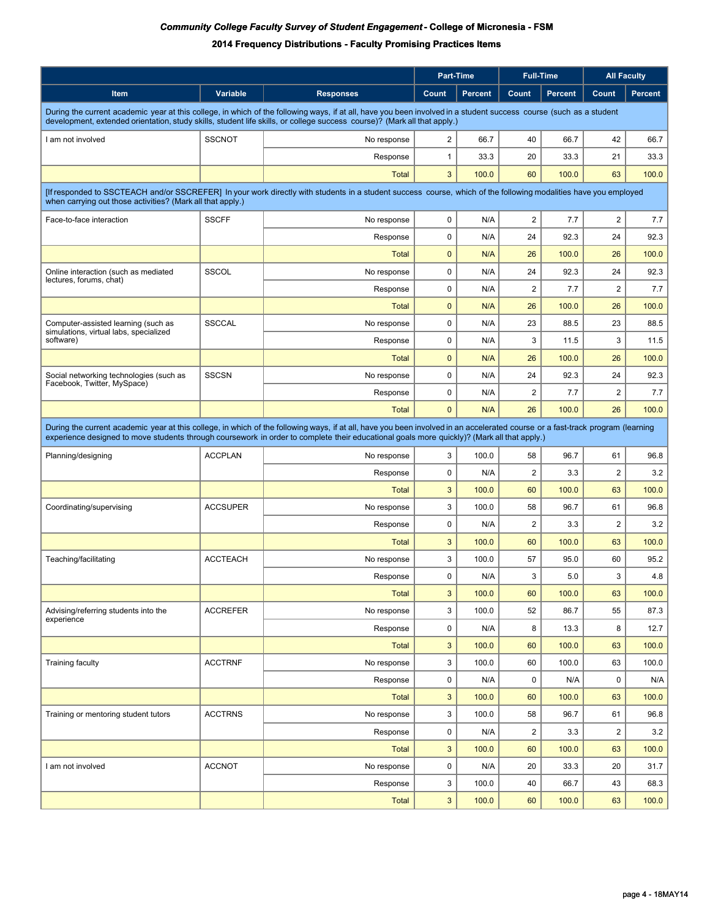|                                                                                                                                                                                                                                                                                                                              |                  | <b>Part-Time</b> |                |                |                | <b>Full-Time</b>        |                |  | <b>All Faculty</b> |
|------------------------------------------------------------------------------------------------------------------------------------------------------------------------------------------------------------------------------------------------------------------------------------------------------------------------------|------------------|------------------|----------------|----------------|----------------|-------------------------|----------------|--|--------------------|
| Item<br>Variable                                                                                                                                                                                                                                                                                                             | <b>Responses</b> | Count            | <b>Percent</b> | Count          | <b>Percent</b> | Count                   | <b>Percent</b> |  |                    |
| During the current academic year at this college, in which of the following ways, if at all, have you been involved in a student success course (such as a student<br>development, extended orientation, study skills, student life skills, or college success course)? (Mark all that apply.)                               |                  |                  |                |                |                |                         |                |  |                    |
| <b>SSCNOT</b><br>I am not involved                                                                                                                                                                                                                                                                                           | No response      | $\overline{2}$   | 66.7           | 40             | 66.7           | 42                      | 66.7           |  |                    |
|                                                                                                                                                                                                                                                                                                                              | Response         | $\mathbf{1}$     | 33.3           | 20             | 33.3           | 21                      | 33.3           |  |                    |
|                                                                                                                                                                                                                                                                                                                              | <b>Total</b>     | 3                | 100.0          | 60             | 100.0          | 63                      | 100.0          |  |                    |
| [If responded to SSCTEACH and/or SSCREFER] In your work directly with students in a student success course, which of the following modalities have you employed<br>when carrying out those activities? (Mark all that apply.)                                                                                                |                  |                  |                |                |                |                         |                |  |                    |
| <b>SSCFF</b><br>Face-to-face interaction                                                                                                                                                                                                                                                                                     | No response      | 0                | N/A            | $\overline{2}$ | 7.7            | $\overline{2}$          | 7.7            |  |                    |
|                                                                                                                                                                                                                                                                                                                              | Response         | $\mathbf 0$      | N/A            | 24             | 92.3           | 24                      | 92.3           |  |                    |
|                                                                                                                                                                                                                                                                                                                              | <b>Total</b>     | $\mathbf 0$      | N/A            | 26             | 100.0          | 26                      | 100.0          |  |                    |
| <b>SSCOL</b><br>Online interaction (such as mediated                                                                                                                                                                                                                                                                         | No response      | $\mathbf 0$      | N/A            | 24             | 92.3           | 24                      | 92.3           |  |                    |
| lectures, forums, chat)                                                                                                                                                                                                                                                                                                      | Response         | $\mathbf 0$      | N/A            | $\overline{2}$ | 7.7            | $\overline{2}$          | 7.7            |  |                    |
|                                                                                                                                                                                                                                                                                                                              | <b>Total</b>     | $\mathbf{0}$     | N/A            | 26             | 100.0          | 26                      | 100.0          |  |                    |
| <b>SSCCAL</b><br>Computer-assisted learning (such as                                                                                                                                                                                                                                                                         | No response      | $\mathbf 0$      | N/A            | 23             | 88.5           | 23                      | 88.5           |  |                    |
| simulations, virtual labs, specialized<br>software)                                                                                                                                                                                                                                                                          | Response         | 0                | N/A            | 3              | 11.5           | 3                       | 11.5           |  |                    |
|                                                                                                                                                                                                                                                                                                                              | <b>Total</b>     | $\mathbf 0$      | N/A            | 26             | 100.0          | 26                      | 100.0          |  |                    |
| <b>SSCSN</b><br>Social networking technologies (such as                                                                                                                                                                                                                                                                      | No response      | $\mathbf 0$      | N/A            | 24             | 92.3           | 24                      | 92.3           |  |                    |
| Facebook, Twitter, MySpace)                                                                                                                                                                                                                                                                                                  | Response         | $\mathbf 0$      | N/A            | $\overline{2}$ | 7.7            | $\overline{2}$          | 7.7            |  |                    |
|                                                                                                                                                                                                                                                                                                                              | <b>Total</b>     | $\mathbf{0}$     | N/A            | 26             | 100.0          | 26                      | 100.0          |  |                    |
| During the current academic year at this college, in which of the following ways, if at all, have you been involved in an accelerated course or a fast-track program (learning<br>experience designed to move students through coursework in order to complete their educational goals more quickly)? (Mark all that apply.) |                  |                  |                |                |                |                         |                |  |                    |
| <b>ACCPLAN</b><br>Planning/designing                                                                                                                                                                                                                                                                                         | No response      | 3                | 100.0          | 58             | 96.7           | 61                      | 96.8           |  |                    |
|                                                                                                                                                                                                                                                                                                                              | Response         | $\mathbf 0$      | N/A            | $\overline{2}$ | 3.3            | $\overline{2}$          | 3.2            |  |                    |
|                                                                                                                                                                                                                                                                                                                              | <b>Total</b>     | 3                | 100.0          | 60             | 100.0          | 63                      | 100.0          |  |                    |
| <b>ACCSUPER</b><br>Coordinating/supervising                                                                                                                                                                                                                                                                                  | No response      | 3                | 100.0          | 58             | 96.7           | 61                      | 96.8           |  |                    |
|                                                                                                                                                                                                                                                                                                                              | Response         | $\mathbf 0$      | N/A            | $\overline{2}$ | 3.3            | $\overline{\mathbf{c}}$ | 3.2            |  |                    |
|                                                                                                                                                                                                                                                                                                                              | <b>Total</b>     | $\mathbf{3}$     | 100.0          | 60             | 100.0          | 63                      | 100.0          |  |                    |
| Teaching/facilitating<br><b>ACCTEACH</b>                                                                                                                                                                                                                                                                                     | No response      | 3                | 100.0          | 57             | 95.0           | 60                      | 95.2           |  |                    |
|                                                                                                                                                                                                                                                                                                                              | Response         | $\mathbf 0$      | N/A            | 3              | 5.0            | 3                       | 4.8            |  |                    |
|                                                                                                                                                                                                                                                                                                                              | <b>Total</b>     | $\mathbf{3}$     | 100.0          | 60             | 100.0          | 63                      | 100.0          |  |                    |
| <b>ACCREFER</b><br>Advising/referring students into the                                                                                                                                                                                                                                                                      | No response      | 3                | 100.0          | 52             | 86.7           | 55                      | 87.3           |  |                    |
| experience                                                                                                                                                                                                                                                                                                                   | Response         | 0                | N/A            | 8              | 13.3           | 8                       | 12.7           |  |                    |
|                                                                                                                                                                                                                                                                                                                              | <b>Total</b>     | $\mathbf{3}$     | 100.0          | 60             | 100.0          | 63                      | 100.0          |  |                    |
| <b>ACCTRNF</b><br><b>Training faculty</b>                                                                                                                                                                                                                                                                                    | No response      | 3                | 100.0          | 60             | 100.0          | 63                      | 100.0          |  |                    |
|                                                                                                                                                                                                                                                                                                                              | Response         | $\mathbf 0$      | N/A            | $\mathbf 0$    | N/A            | 0                       | N/A            |  |                    |
|                                                                                                                                                                                                                                                                                                                              | <b>Total</b>     | $\mathbf{3}$     | 100.0          | 60             | 100.0          | 63                      | 100.0          |  |                    |
| <b>ACCTRNS</b><br>Training or mentoring student tutors                                                                                                                                                                                                                                                                       | No response      | 3                | 100.0          | 58             | 96.7           | 61                      | 96.8           |  |                    |
|                                                                                                                                                                                                                                                                                                                              | Response         | 0                | N/A            | $\overline{c}$ | 3.3            | $\overline{\mathbf{c}}$ | 3.2            |  |                    |
|                                                                                                                                                                                                                                                                                                                              | <b>Total</b>     | $\mathbf{3}$     | 100.0          | 60             | 100.0          | 63                      | 100.0          |  |                    |
| <b>ACCNOT</b><br>I am not involved                                                                                                                                                                                                                                                                                           | No response      | 0                | N/A            | 20             | 33.3           | 20                      | 31.7           |  |                    |
|                                                                                                                                                                                                                                                                                                                              | Response         | 3                | 100.0          | 40             | 66.7           | 43                      | 68.3           |  |                    |
|                                                                                                                                                                                                                                                                                                                              | <b>Total</b>     | $\mathbf{3}$     | 100.0          | 60             | 100.0          | 63                      | 100.0          |  |                    |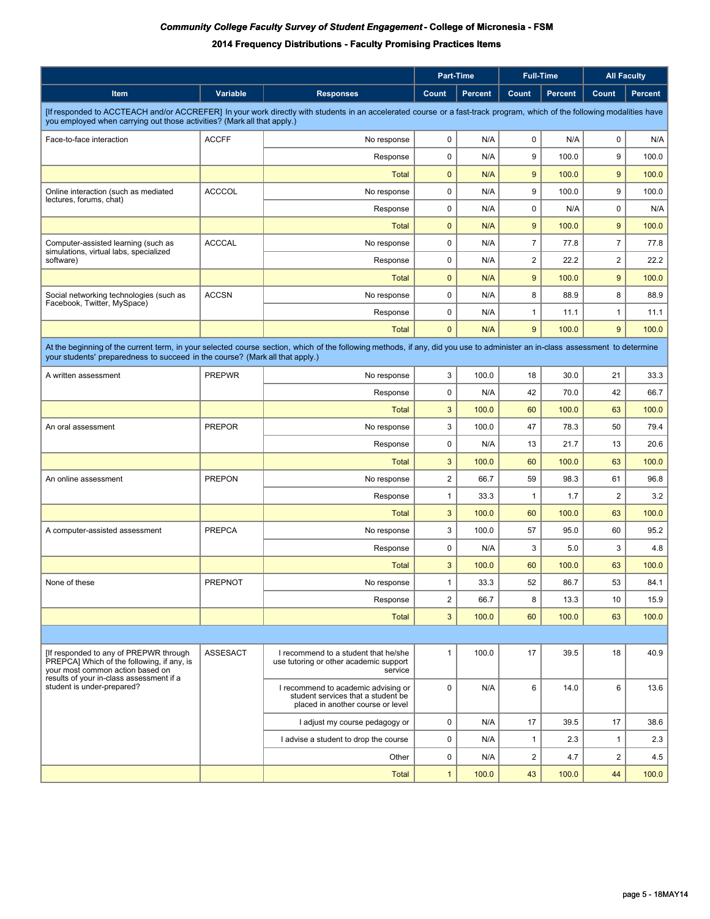|                                                                                                                                                                              |                |                                                                                                                | Part-Time               |                | <b>Full-Time</b> |                | <b>All Faculty</b>      |         |
|------------------------------------------------------------------------------------------------------------------------------------------------------------------------------|----------------|----------------------------------------------------------------------------------------------------------------|-------------------------|----------------|------------------|----------------|-------------------------|---------|
| Item                                                                                                                                                                         | Variable       | <b>Responses</b>                                                                                               | Count                   | <b>Percent</b> | Count            | <b>Percent</b> | Count                   | Percent |
| [If responded to ACCTEACH and/or ACCREFER] In your work directly with students in an accelerated course or a fast-track program, which of the following modalities have      |                |                                                                                                                |                         |                |                  |                |                         |         |
| you employed when carrying out those activities? (Mark all that apply.)                                                                                                      |                |                                                                                                                |                         |                |                  |                |                         |         |
| Face-to-face interaction                                                                                                                                                     | <b>ACCFF</b>   | No response                                                                                                    | 0                       | N/A            | 0                | N/A            | 0                       | N/A     |
|                                                                                                                                                                              |                | Response                                                                                                       | 0                       | N/A            | 9                | 100.0          | 9                       | 100.0   |
|                                                                                                                                                                              |                | <b>Total</b>                                                                                                   | $\mathbf{0}$            | N/A            | 9                | 100.0          | 9                       | 100.0   |
| Online interaction (such as mediated<br>lectures, forums, chat)                                                                                                              | <b>ACCCOL</b>  | No response                                                                                                    | 0                       | N/A            | 9                | 100.0          | 9                       | 100.0   |
|                                                                                                                                                                              |                | Response                                                                                                       | 0                       | N/A            | $\mathbf 0$      | N/A            | $\mathbf 0$             | N/A     |
|                                                                                                                                                                              |                | <b>Total</b>                                                                                                   | $\mathbf{0}$            | N/A            | 9                | 100.0          | 9                       | 100.0   |
| Computer-assisted learning (such as<br>simulations, virtual labs, specialized                                                                                                | <b>ACCCAL</b>  | No response                                                                                                    | 0                       | N/A            | $\overline{7}$   | 77.8           | $\overline{7}$          | 77.8    |
| software)                                                                                                                                                                    |                | Response                                                                                                       | 0                       | N/A            | $\overline{2}$   | 22.2           | $\overline{2}$          | 22.2    |
|                                                                                                                                                                              |                | <b>Total</b>                                                                                                   | $\mathbf{0}$            | N/A            | 9                | 100.0          | 9                       | 100.0   |
| Social networking technologies (such as<br>Facebook, Twitter, MySpace)                                                                                                       | <b>ACCSN</b>   | No response                                                                                                    | 0                       | N/A            | 8                | 88.9           | 8                       | 88.9    |
|                                                                                                                                                                              |                | Response                                                                                                       | 0                       | N/A            | $\mathbf{1}$     | 11.1           | $\mathbf{1}$            | 11.1    |
|                                                                                                                                                                              |                | <b>Total</b>                                                                                                   | $\mathbf{0}$            | N/A            | 9                | 100.0          | 9                       | 100.0   |
| At the beginning of the current term, in your selected course section, which of the following methods, if any, did you use to administer an in-class assessment to determine |                |                                                                                                                |                         |                |                  |                |                         |         |
| your students' preparedness to succeed in the course? (Mark all that apply.)                                                                                                 |                |                                                                                                                |                         |                |                  |                |                         |         |
| A written assessment                                                                                                                                                         | <b>PREPWR</b>  | No response                                                                                                    | 3                       | 100.0          | 18               | 30.0           | 21                      | 33.3    |
|                                                                                                                                                                              |                | Response                                                                                                       | 0                       | N/A            | 42               | 70.0           | 42                      | 66.7    |
|                                                                                                                                                                              |                | <b>Total</b>                                                                                                   | 3                       | 100.0          | 60               | 100.0          | 63                      | 100.0   |
| An oral assessment                                                                                                                                                           | <b>PREPOR</b>  | No response                                                                                                    | 3                       | 100.0          | 47               | 78.3           | 50                      | 79.4    |
|                                                                                                                                                                              |                | Response                                                                                                       | 0                       | N/A            | 13               | 21.7           | 13                      | 20.6    |
|                                                                                                                                                                              |                | <b>Total</b>                                                                                                   | 3                       | 100.0          | 60               | 100.0          | 63                      | 100.0   |
| An online assessment                                                                                                                                                         | <b>PREPON</b>  | No response                                                                                                    | $\overline{\mathbf{c}}$ | 66.7           | 59               | 98.3           | 61                      | 96.8    |
|                                                                                                                                                                              |                | Response                                                                                                       | $\mathbf{1}$            | 33.3           | $\mathbf{1}$     | 1.7            | $\overline{\mathbf{c}}$ | 3.2     |
|                                                                                                                                                                              |                | <b>Total</b>                                                                                                   | 3                       | 100.0          | 60               | 100.0          | 63                      | 100.0   |
| A computer-assisted assessment                                                                                                                                               | <b>PREPCA</b>  | No response                                                                                                    | 3                       | 100.0          | 57               | 95.0           | 60                      | 95.2    |
|                                                                                                                                                                              |                | Response                                                                                                       | 0                       | N/A            | 3                | 5.0            | 3                       | 4.8     |
|                                                                                                                                                                              |                | <b>Total</b>                                                                                                   | 3                       | 100.0          | 60               | 100.0          | 63                      | 100.0   |
| None of these                                                                                                                                                                | <b>PREPNOT</b> | No response                                                                                                    | 1                       | 33.3           | 52               | 86.7           | 53                      | 84.1    |
|                                                                                                                                                                              |                | Response                                                                                                       | $\overline{\mathbf{c}}$ | 66.7           | 8                | 13.3           | 10                      | 15.9    |
|                                                                                                                                                                              |                | Total                                                                                                          | 3                       | 100.0          | 60               | 100.0          | 63                      | 100.0   |
|                                                                                                                                                                              |                |                                                                                                                |                         |                |                  |                |                         |         |
| [If responded to any of PREPWR through                                                                                                                                       | ASSESACT       | I recommend to a student that he/she                                                                           | $\mathbf{1}$            | 100.0          | 17               | 39.5           | 18                      | 40.9    |
| PREPCAI Which of the following, if any, is<br>your most common action based on                                                                                               |                | use tutoring or other academic support<br>service                                                              |                         |                |                  |                |                         |         |
| results of your in-class assessment if a<br>student is under-prepared?                                                                                                       |                | I recommend to academic advising or<br>student services that a student be<br>placed in another course or level | $\mathbf 0$             | N/A            | 6                | 14.0           | 6                       | 13.6    |
|                                                                                                                                                                              |                | I adjust my course pedagogy or                                                                                 | $\mathbf 0$             | N/A            | 17               | 39.5           | 17                      | 38.6    |
|                                                                                                                                                                              |                | I advise a student to drop the course                                                                          | 0                       | N/A            | $\mathbf{1}$     | 2.3            | $\mathbf{1}$            | 2.3     |
|                                                                                                                                                                              |                | Other                                                                                                          | 0                       | N/A            | $\overline{c}$   | 4.7            | $\overline{\mathbf{c}}$ | 4.5     |
|                                                                                                                                                                              |                | <b>Total</b>                                                                                                   | $\mathbf{1}$            | 100.0          | 43               | 100.0          | 44                      | 100.0   |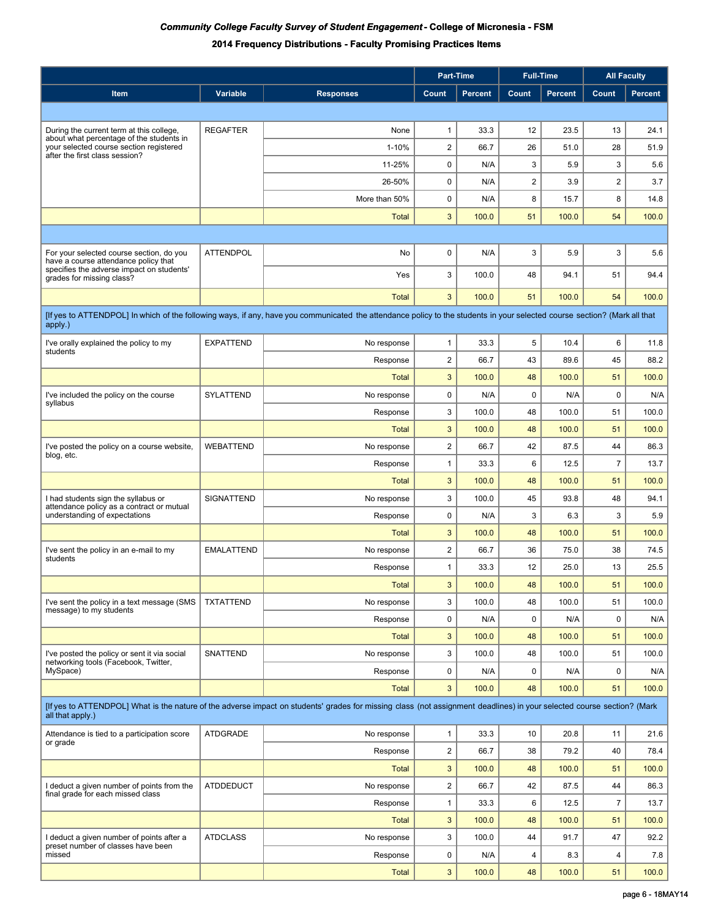|                                                                                                                                                                                            |                   |                  | Part-Time                 |                | <b>Full-Time</b>        |         | <b>All Faculty</b> |         |
|--------------------------------------------------------------------------------------------------------------------------------------------------------------------------------------------|-------------------|------------------|---------------------------|----------------|-------------------------|---------|--------------------|---------|
| <b>Item</b>                                                                                                                                                                                | Variable          | <b>Responses</b> | Count                     | <b>Percent</b> | Count                   | Percent | Count              | Percent |
|                                                                                                                                                                                            |                   |                  |                           |                |                         |         |                    |         |
| During the current term at this college,                                                                                                                                                   | <b>REGAFTER</b>   | None             | $\mathbf{1}$              | 33.3           | 12                      | 23.5    | 13                 | 24.1    |
| about what percentage of the students in<br>your selected course section registered                                                                                                        |                   | 1-10%            | $\boldsymbol{2}$          | 66.7           | 26                      | 51.0    | 28                 | 51.9    |
| after the first class session?                                                                                                                                                             |                   | 11-25%           | 0                         | N/A            | 3                       | 5.9     | 3                  | 5.6     |
|                                                                                                                                                                                            |                   | 26-50%           | 0                         | N/A            | $\overline{\mathbf{c}}$ | 3.9     | $\overline{2}$     | 3.7     |
|                                                                                                                                                                                            |                   | More than 50%    | $\mathbf 0$               | N/A            | 8                       | 15.7    | 8                  | 14.8    |
|                                                                                                                                                                                            |                   | <b>Total</b>     | 3                         | 100.0          | 51                      | 100.0   | 54                 | 100.0   |
|                                                                                                                                                                                            |                   |                  |                           |                |                         |         |                    |         |
| For your selected course section, do you                                                                                                                                                   | <b>ATTENDPOL</b>  | No               | 0                         | N/A            | 3                       | 5.9     | 3                  | 5.6     |
| have a course attendance policy that<br>specifies the adverse impact on students'<br>grades for missing class?                                                                             |                   | Yes              | 3                         | 100.0          | 48                      | 94.1    | 51                 | 94.4    |
|                                                                                                                                                                                            |                   | <b>Total</b>     | 3                         | 100.0          | 51                      | 100.0   | 54                 | 100.0   |
| [If yes to ATTENDPOL] In which of the following ways, if any, have you communicated the attendance policy to the students in your selected course section? (Mark all that                  |                   |                  |                           |                |                         |         |                    |         |
| apply.)                                                                                                                                                                                    |                   |                  |                           |                |                         |         |                    |         |
| I've orally explained the policy to my<br>students                                                                                                                                         | <b>EXPATTEND</b>  | No response      | 1                         | 33.3           | 5                       | 10.4    | 6                  | 11.8    |
|                                                                                                                                                                                            |                   | Response         | $\overline{c}$            | 66.7           | 43                      | 89.6    | 45                 | 88.2    |
|                                                                                                                                                                                            |                   | Total            | 3                         | 100.0          | 48                      | 100.0   | 51                 | 100.0   |
| I've included the policy on the course<br>syllabus                                                                                                                                         | <b>SYLATTEND</b>  | No response      | 0                         | N/A            | 0                       | N/A     | $\mathbf 0$        | N/A     |
|                                                                                                                                                                                            |                   | Response         | 3                         | 100.0          | 48                      | 100.0   | 51                 | 100.0   |
|                                                                                                                                                                                            |                   | Total            | 3                         | 100.0          | 48                      | 100.0   | 51                 | 100.0   |
| I've posted the policy on a course website,<br>blog, etc.                                                                                                                                  | <b>WEBATTEND</b>  | No response      | $\overline{c}$            | 66.7           | 42                      | 87.5    | 44                 | 86.3    |
|                                                                                                                                                                                            |                   | Response         | $\mathbf{1}$              | 33.3           | 6                       | 12.5    | $\overline{7}$     | 13.7    |
|                                                                                                                                                                                            |                   | <b>Total</b>     | 3                         | 100.0          | 48                      | 100.0   | 51                 | 100.0   |
| I had students sign the syllabus or<br>attendance policy as a contract or mutual                                                                                                           | SIGNATTEND        | No response      | 3                         | 100.0          | 45                      | 93.8    | 48                 | 94.1    |
| understanding of expectations                                                                                                                                                              |                   | Response         | 0                         | N/A            | 3                       | 6.3     | 3                  | 5.9     |
|                                                                                                                                                                                            |                   | <b>Total</b>     | 3                         | 100.0          | 48                      | 100.0   | 51                 | 100.0   |
| I've sent the policy in an e-mail to my<br>students                                                                                                                                        | <b>EMALATTEND</b> | No response      | $\overline{\mathbf{c}}$   | 66.7           | 36                      | 75.0    | 38                 | 74.5    |
|                                                                                                                                                                                            |                   | Response         | 1                         | 33.3           | 12                      | 25.0    | 13                 | 25.5    |
|                                                                                                                                                                                            |                   | Total            | 3                         | 100.0          | 48                      | 100.0   | 51                 | 100.0   |
| I've sent the policy in a text message (SMS<br>message) to my students                                                                                                                     | <b>TXTATTEND</b>  | No response      | 3                         | 100.0          | 48                      | 100.0   | 51                 | 100.0   |
|                                                                                                                                                                                            |                   | Response         | 0                         | N/A            | 0                       | N/A     | $\mathbf 0$        | N/A     |
|                                                                                                                                                                                            |                   | <b>Total</b>     | 3                         | 100.0          | 48                      | 100.0   | 51                 | 100.0   |
| I've posted the policy or sent it via social<br>networking tools (Facebook, Twitter,                                                                                                       | <b>SNATTEND</b>   | No response      | 3                         | 100.0          | 48                      | 100.0   | 51                 | 100.0   |
| MySpace)                                                                                                                                                                                   |                   | Response         | 0                         | N/A            | $\mathbf 0$             | N/A     | 0                  | N/A     |
|                                                                                                                                                                                            |                   | <b>Total</b>     | 3                         | 100.0          | 48                      | 100.0   | 51                 | 100.0   |
| [If yes to ATTENDPOL] What is the nature of the adverse impact on students' grades for missing class (not assignment deadlines) in your selected course section? (Mark<br>all that apply.) |                   |                  |                           |                |                         |         |                    |         |
| Attendance is tied to a participation score<br>or grade                                                                                                                                    | <b>ATDGRADE</b>   | No response      | 1                         | 33.3           | 10                      | 20.8    | 11                 | 21.6    |
|                                                                                                                                                                                            |                   | Response         | $\overline{\mathbf{c}}$   | 66.7           | 38                      | 79.2    | 40                 | 78.4    |
|                                                                                                                                                                                            |                   | <b>Total</b>     | 3                         | 100.0          | 48                      | 100.0   | 51                 | 100.0   |
| I deduct a given number of points from the<br>final grade for each missed class                                                                                                            | <b>ATDDEDUCT</b>  | No response      | $\overline{\mathbf{c}}$   | 66.7           | 42                      | 87.5    | 44                 | 86.3    |
|                                                                                                                                                                                            |                   | Response         | $\mathbf{1}$              | 33.3           | 6                       | 12.5    | $\overline{7}$     | 13.7    |
|                                                                                                                                                                                            |                   | <b>Total</b>     | $\ensuremath{\mathsf{3}}$ | 100.0          | 48                      | 100.0   | 51                 | 100.0   |
| I deduct a given number of points after a<br>preset number of classes have been                                                                                                            | <b>ATDCLASS</b>   | No response      | 3                         | 100.0          | 44                      | 91.7    | 47                 | 92.2    |
| missed                                                                                                                                                                                     |                   | Response         | 0                         | N/A            | 4                       | 8.3     | 4                  | 7.8     |
|                                                                                                                                                                                            |                   | <b>Total</b>     | 3                         | 100.0          | 48                      | 100.0   | 51                 | 100.0   |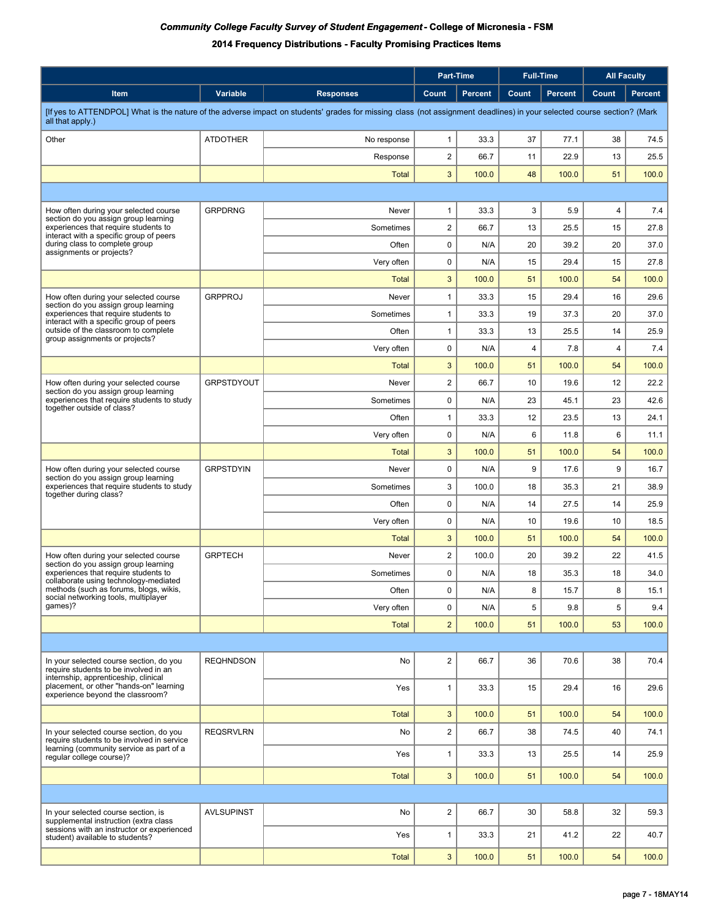|                                                                                                                                                                        |                   |                  | Part-Time               |                | <b>Full-Time</b>        |                | <b>All Faculty</b> |                |
|------------------------------------------------------------------------------------------------------------------------------------------------------------------------|-------------------|------------------|-------------------------|----------------|-------------------------|----------------|--------------------|----------------|
| Item                                                                                                                                                                   | Variable          | <b>Responses</b> | Count                   | <b>Percent</b> | Count                   | <b>Percent</b> | Count              | <b>Percent</b> |
| [If yes to ATTENDPOL] What is the nature of the adverse impact on students' grades for missing class (not assignment deadlines) in your selected course section? (Mark |                   |                  |                         |                |                         |                |                    |                |
| all that apply.)                                                                                                                                                       |                   |                  |                         |                |                         |                |                    |                |
| Other                                                                                                                                                                  | <b>ATDOTHER</b>   | No response      | $\mathbf{1}$            | 33.3           | 37                      | 77.1           | 38                 | 74.5           |
|                                                                                                                                                                        |                   | Response         | $\mathbf 2$<br>3        | 66.7<br>100.0  | 11<br>48                | 22.9<br>100.0  | 13<br>51           | 25.5<br>100.0  |
|                                                                                                                                                                        |                   | Total            |                         |                |                         |                |                    |                |
|                                                                                                                                                                        | <b>GRPDRNG</b>    | Never            | 1                       | 33.3           | 3                       | 5.9            | 4                  |                |
| How often during your selected course<br>section do you assign group learning<br>experiences that require students to                                                  |                   | Sometimes        | $\overline{\mathbf{c}}$ | 66.7           | 13                      | 25.5           | 15                 | 7.4<br>27.8    |
| interact with a specific group of peers<br>during class to complete group                                                                                              |                   | Often            | $\mathbf 0$             | N/A            | 20                      | 39.2           | 20                 | 37.0           |
| assignments or projects?                                                                                                                                               |                   | Very often       | $\mathbf 0$             | N/A            | 15                      | 29.4           | 15                 | 27.8           |
|                                                                                                                                                                        |                   | Total            | $\sqrt{3}$              | 100.0          | 51                      | 100.0          | 54                 | 100.0          |
| How often during your selected course                                                                                                                                  | <b>GRPPROJ</b>    | Never            | 1                       | 33.3           | 15                      | 29.4           | 16                 | 29.6           |
| section do you assign group learning<br>experiences that require students to                                                                                           |                   | Sometimes        | 1                       | 33.3           | 19                      | 37.3           | 20                 | 37.0           |
| interact with a specific group of peers<br>outside of the classroom to complete                                                                                        |                   | Often            | 1                       | 33.3           | 13                      | 25.5           | 14                 | 25.9           |
| group assignments or projects?                                                                                                                                         |                   | Very often       | 0                       | N/A            | $\overline{\mathbf{4}}$ | 7.8            | 4                  | 7.4            |
|                                                                                                                                                                        |                   | Total            | $\sqrt{3}$              | 100.0          | 51                      | 100.0          | 54                 | 100.0          |
| How often during your selected course                                                                                                                                  | <b>GRPSTDYOUT</b> | Never            | $\mathbf 2$             | 66.7           | 10                      | 19.6           | 12                 | 22.2           |
| section do you assign group learning<br>experiences that require students to study<br>together outside of class?                                                       |                   | Sometimes        | 0                       | N/A            | 23                      | 45.1           | 23                 | 42.6           |
|                                                                                                                                                                        |                   | Often            | $\mathbf{1}$            | 33.3           | 12                      | 23.5           | 13                 | 24.1           |
|                                                                                                                                                                        |                   | Very often       | $\mathbf 0$             | N/A            | 6                       | 11.8           | 6                  | 11.1           |
|                                                                                                                                                                        |                   | Total            | 3                       | 100.0          | 51                      | 100.0          | 54                 | 100.0          |
| How often during your selected course<br>section do you assign group learning                                                                                          | <b>GRPSTDYIN</b>  | Never            | $\mathbf 0$             | N/A            | 9                       | 17.6           | 9                  | 16.7           |
| experiences that require students to study<br>together during class?                                                                                                   |                   | Sometimes        | 3                       | 100.0          | 18                      | 35.3           | 21                 | 38.9           |
|                                                                                                                                                                        |                   | Often            | $\mathbf 0$             | N/A            | 14                      | 27.5           | 14                 | 25.9           |
|                                                                                                                                                                        |                   | Very often       | 0                       | N/A            | 10                      | 19.6           | 10                 | 18.5           |
|                                                                                                                                                                        |                   | <b>Total</b>     | $\sqrt{3}$              | 100.0          | 51                      | 100.0          | 54                 | 100.0          |
| How often during your selected course<br>section do you assign group learning                                                                                          | <b>GRPTECH</b>    | Never            | $\overline{\mathbf{c}}$ | 100.0          | 20                      | 39.2           | 22                 | 41.5           |
| experiences that require students to<br>collaborate using technology-mediated                                                                                          |                   | Sometimes        | 0                       | N/A            | 18                      | 35.3           | 18                 | 34.0           |
| methods (such as forums, blogs, wikis,<br>social networking tools, multiplayer                                                                                         |                   | Often            | $\mathbf 0$             | N/A            | 8                       | 15.7           | 8                  | 15.1           |
| games)?                                                                                                                                                                |                   | Very often       | 0                       | N/A            | 5                       | 9.8            | 5                  | 9.4            |
|                                                                                                                                                                        |                   | <b>Total</b>     | $\overline{2}$          | 100.0          | 51                      | 100.0          | 53                 | 100.0          |
|                                                                                                                                                                        |                   |                  |                         |                |                         |                |                    |                |
| In your selected course section, do you<br>require students to be involved in an                                                                                       | <b>REQHNDSON</b>  | No               | $\overline{2}$          | 66.7           | 36                      | 70.6           | 38                 | 70.4           |
| internship, apprenticeship, clinical<br>placement, or other "hands-on" learning<br>experience beyond the classroom?                                                    |                   | Yes              | $\mathbf{1}$            | 33.3           | 15                      | 29.4           | 16                 | 29.6           |
|                                                                                                                                                                        |                   |                  |                         |                |                         |                |                    |                |
|                                                                                                                                                                        |                   | <b>Total</b>     | $\mathbf{3}$            | 100.0          | 51                      | 100.0          | 54                 | 100.0          |
| In your selected course section, do you<br>require students to be involved in service<br>learning (community service as part of a                                      | <b>REQSRVLRN</b>  | No               | $\overline{\mathbf{c}}$ | 66.7           | 38                      | 74.5           | 40                 | 74.1           |
| regular college course)?                                                                                                                                               |                   | Yes              | $\mathbf{1}$            | 33.3           | 13                      | 25.5           | 14                 | 25.9           |
|                                                                                                                                                                        |                   | <b>Total</b>     | 3                       | 100.0          | 51                      | 100.0          | 54                 | 100.0          |
|                                                                                                                                                                        |                   |                  |                         |                |                         |                |                    |                |
| In your selected course section, is<br>supplemental instruction (extra class                                                                                           | <b>AVLSUPINST</b> | No               | $\overline{c}$          | 66.7           | 30                      | 58.8           | 32                 | 59.3           |
| sessions with an instructor or experienced<br>student) available to students?                                                                                          |                   | Yes              | $\mathbf{1}$            | 33.3           | 21                      | 41.2           | 22                 | 40.7           |
|                                                                                                                                                                        |                   | <b>Total</b>     | $\mathbf{3}$            | 100.0          | 51                      | 100.0          | 54                 | 100.0          |